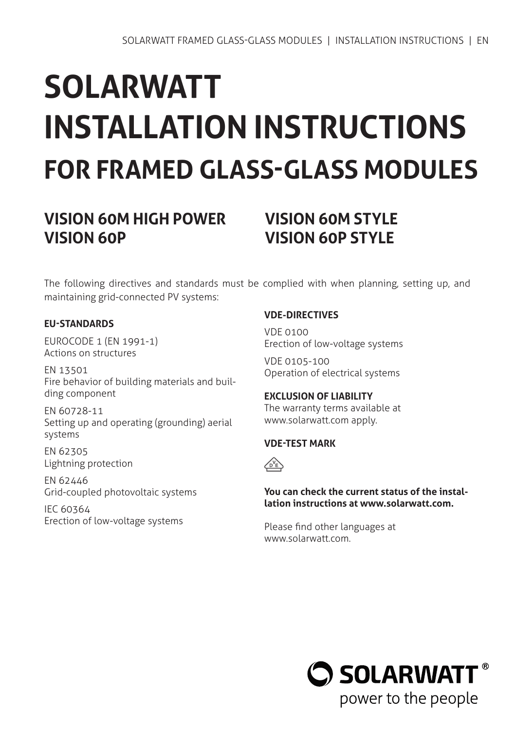# **SOLARWATT INSTALLATION INSTRUCTIONS FOR FRAMED GLASS-GLASS MODULES**

# **VISION 60M HIGH POWER VISION 60M STYLE VISION 60P VISION 60P STYLE**

The following directives and standards must be complied with when planning, setting up, and maintaining grid-connected PV systems:

### **EU-STANDARDS**

EUROCODE 1 (EN 1991-1) Actions on structures

EN 13501 Fire behavior of building materials and building component

EN 60728-11 Setting up and operating (grounding) aerial systems

EN 62305 Lightning protection

EN 62446 Grid-coupled photovoltaic systems

IEC 60364 Erection of low-voltage systems

### **VDE-DIRECTIVES**

VDE 0100 Erection of low-voltage systems

VDE 0105-100 Operation of electrical systems

# **EXCLUSION OF LIABILITY**

The warranty terms available at www.solarwatt.com apply.

### **VDE-TEST MARK**



### **You can check the current status of the installation instructions at www.solarwatt.com.**

Please find other languages at www.solarwatt.com.

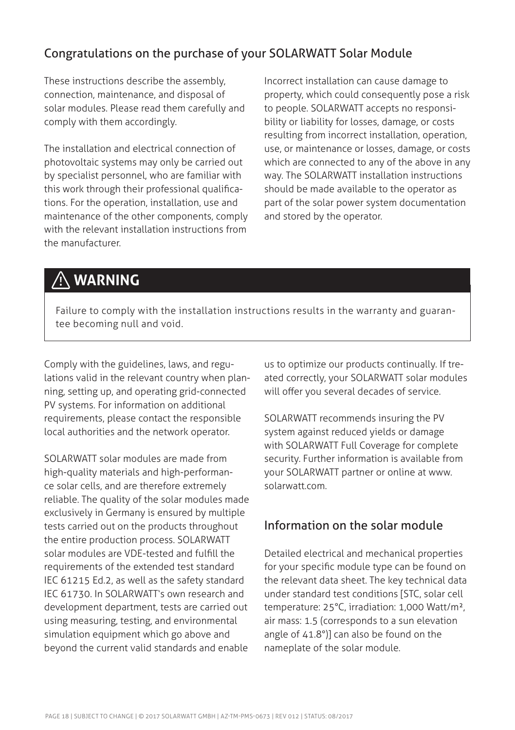# Congratulations on the purchase of your SOLARWATT Solar Module

These instructions describe the assembly, connection, maintenance, and disposal of solar modules. Please read them carefully and comply with them accordingly.

The installation and electrical connection of photovoltaic systems may only be carried out by specialist personnel, who are familiar with this work through their professional qualifications. For the operation, installation, use and maintenance of the other components, comply with the relevant installation instructions from the manufacturer.

Incorrect installation can cause damage to property, which could consequently pose a risk to people. SOLARWATT accepts no responsibility or liability for losses, damage, or costs resulting from incorrect installation, operation, use, or maintenance or losses, damage, or costs which are connected to any of the above in any way. The SOLARWATT installation instructions should be made available to the operator as part of the solar power system documentation and stored by the operator.

# **WARNING**

Failure to comply with the installation instructions results in the warranty and guarantee becoming null and void.

Comply with the guidelines, laws, and regulations valid in the relevant country when planning, setting up, and operating grid-connected PV systems. For information on additional requirements, please contact the responsible local authorities and the network operator.

SOLARWATT solar modules are made from high-quality materials and high-performance solar cells, and are therefore extremely reliable. The quality of the solar modules made exclusively in Germany is ensured by multiple tests carried out on the products throughout the entire production process. SOLARWATT solar modules are VDE-tested and fulfill the requirements of the extended test standard IEC 61215 Ed.2, as well as the safety standard IEC 61730. In SOLARWATT's own research and development department, tests are carried out using measuring, testing, and environmental simulation equipment which go above and beyond the current valid standards and enable

us to optimize our products continually. If treated correctly, your SOLARWATT solar modules will offer you several decades of service.

SOLARWATT recommends insuring the PV system against reduced yields or damage with SOLARWATT Full Coverage for complete security. Further information is available from your SOLARWATT partner or online at www. solarwatt.com.

### Information on the solar module

Detailed electrical and mechanical properties for your specific module type can be found on the relevant data sheet. The key technical data under standard test conditions [STC, solar cell temperature: 25°C, irradiation: 1,000 Watt/m², air mass: 1.5 (corresponds to a sun elevation angle of 41.8°)] can also be found on the nameplate of the solar module.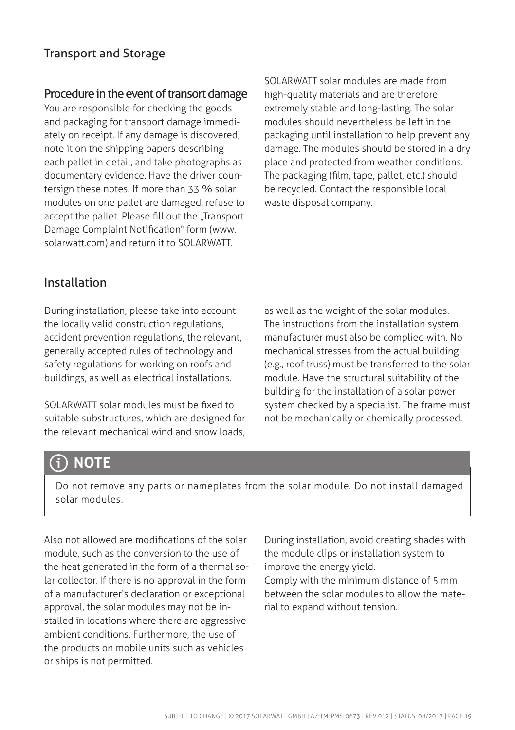## Transport and Storage

### Procedure in the event of transort damage

You are responsible for checking the goods and packaging for transport damage immediately on receipt. If any damage is discovered, note it on the shipping papers describing each pallet in detail, and take photographs as documentary evidence. Have the driver countersign these notes. If more than 33 % solar modules on one pallet are damaged, refuse to accept the pallet. Please fill out the "Transport Damage Complaint Notification" form (www. solarwatt.com) and return it to SOLARWATT.

SOLARWATT solar modules are made from high-quality materials and are therefore extremely stable and long-lasting. The solar modules should nevertheless be left in the packaging until installation to help prevent any damage. The modules should be stored in a dry place and protected from weather conditions. The packaging (film, tape, pallet, etc.) should be recycled. Contact the responsible local waste disposal company.

### Installation

During installation, please take into account the locally valid construction regulations, accident prevention regulations, the relevant, generally accepted rules of technology and safety regulations for working on roofs and buildings, as well as electrical installations.

SOLARWATT solar modules must be fixed to suitable substructures, which are designed for the relevant mechanical wind and snow loads,

as well as the weight of the solar modules. The instructions from the installation system manufacturer must also be complied with. No mechanical stresses from the actual building (e.g., roof truss) must be transferred to the solar module. Have the structural suitability of the building for the installation of a solar power system checked by a specialist. The frame must not be mechanically or chemically processed.

# **NOTE**

Do not remove any parts or nameplates from the solar module. Do not install damaged solar modules.

Also not allowed are modifications of the solar module, such as the conversion to the use of the heat generated in the form of a thermal solar collector. If there is no approval in the form of a manufacturer's declaration or exceptional approval, the solar modules may not be installed in locations where there are aggressive ambient conditions. Furthermore, the use of the products on mobile units such as vehicles or ships is not permitted.

During installation, avoid creating shades with the module clips or installation system to improve the energy yield. Comply with the minimum distance of 5 mm between the solar modules to allow the mate-

rial to expand without tension.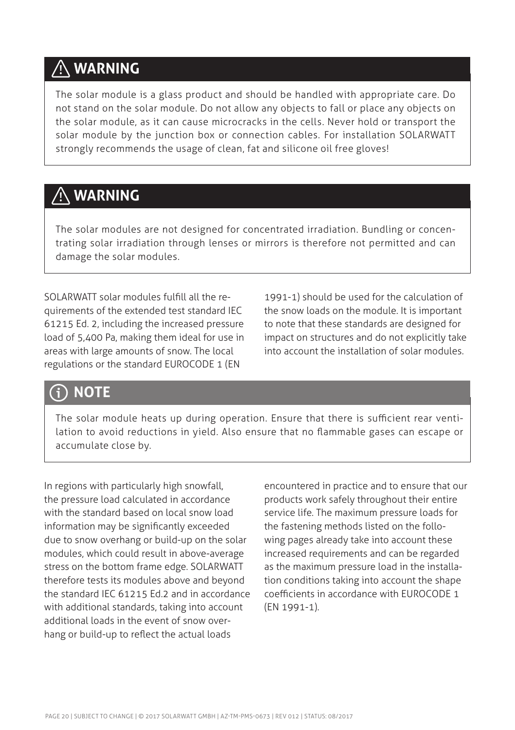# **WARNING**

The solar module is a glass product and should be handled with appropriate care. Do not stand on the solar module. Do not allow any objects to fall or place any objects on the solar module, as it can cause microcracks in the cells. Never hold or transport the solar module by the junction box or connection cables. For installation SOLARWATT strongly recommends the usage of clean, fat and silicone oil free gloves!

# **WARNING**

The solar modules are not designed for concentrated irradiation. Bundling or concentrating solar irradiation through lenses or mirrors is therefore not permitted and can damage the solar modules.

SOLARWATT solar modules fulfill all the requirements of the extended test standard IEC 61215 Ed. 2, including the increased pressure load of 5,400 Pa, making them ideal for use in areas with large amounts of snow. The local regulations or the standard EUROCODE 1 (EN

1991-1) should be used for the calculation of the snow loads on the module. It is important to note that these standards are designed for impact on structures and do not explicitly take into account the installation of solar modules.

# **NOTE**

The solar module heats up during operation. Ensure that there is sufficient rear ventilation to avoid reductions in yield. Also ensure that no flammable gases can escape or accumulate close by.

In regions with particularly high snowfall, the pressure load calculated in accordance with the standard based on local snow load information may be significantly exceeded due to snow overhang or build-up on the solar modules, which could result in above-average stress on the bottom frame edge. SOLARWATT therefore tests its modules above and beyond the standard IEC 61215 Ed.2 and in accordance with additional standards, taking into account additional loads in the event of snow overhang or build-up to reflect the actual loads

encountered in practice and to ensure that our products work safely throughout their entire service life. The maximum pressure loads for the fastening methods listed on the following pages already take into account these increased requirements and can be regarded as the maximum pressure load in the installation conditions taking into account the shape coefficients in accordance with EUROCODE 1 (EN 1991-1).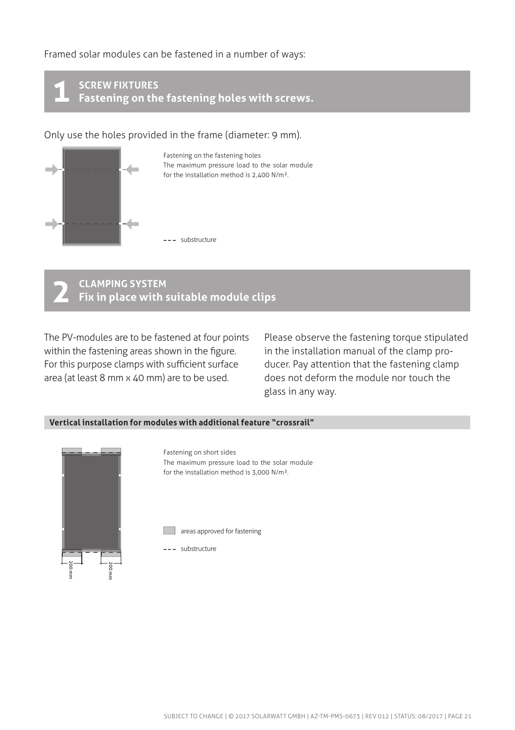Framed solar modules can be fastened in a number of ways:

**SCREW FIXTURES Fastening on the fastening holes with screws. 1**

Only use the holes provided in the frame (diameter: 9 mm).



Fastening on the fastening holes The maximum pressure load to the solar module for the installation method is 2,400 N/m².

#### **CLAMPING SYSTEM Fix in place with suitable module clips 2**

 $s = -$ substructure

The PV-modules are to be fastened at four points within the fastening areas shown in the figure. For this purpose clamps with sufficient surface area (at least 8 mm x 40 mm) are to be used.

Please observe the fastening torque stipulated in the installation manual of the clamp producer. Pay attention that the fastening clamp does not deform the module nor touch the glass in any way.

#### **Vertical installation for modules with additional feature "crossrail"**



Fastening on short sides The maximum pressure load to the solar module for the installation method is 3,000 N/m². areas approved for fastening --- substructure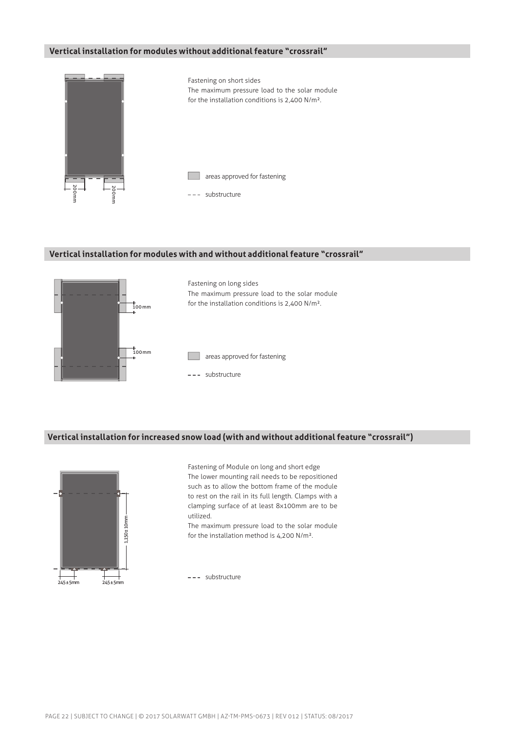#### **Vertical installation for modules without additional feature "crossrail"**



#### **Vertical installation for modules with and without additional feature "crossrail"**



#### **Vertical installation for increased snow load (with and without additional feature "crossrail")**



Fastening of Module on long and short edge The lower mounting rail needs to be repositioned such as to allow the bottom frame of the module to rest on the rail in its full length. Clamps with a clamping surface of at least 8x100mm are to be utilized.

The maximum pressure load to the solar module for the installation method is 4,200 N/m².

--- substructure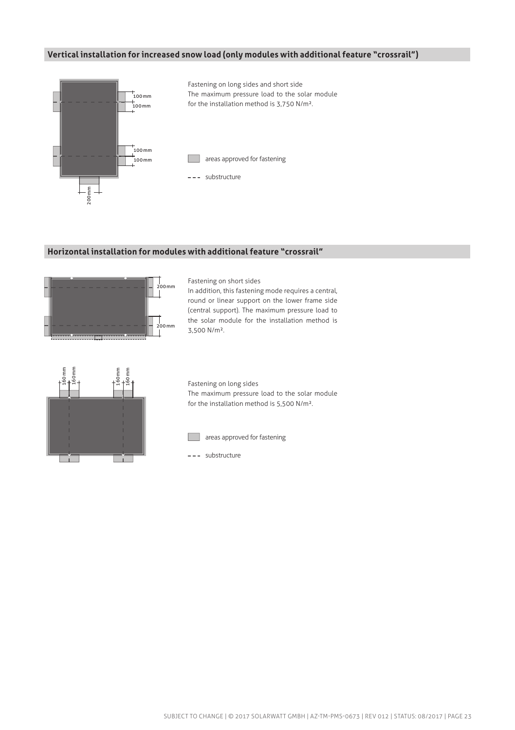#### **Vertical installation for increased snow load (only modules with additional feature "crossrail")**



#### **Horizontal installation for modules with additional feature "crossrail"**



Fastening on short sides

In addition, this fastening mode requires a central, round or linear support on the lower frame side (central support). The maximum pressure load to the solar module for the installation method is 3,500 N/m².



Fastening on long sides The maximum pressure load to the solar module for the installation method is 5,500 N/m².



**areas approved for fastening** 

 $---$ substructure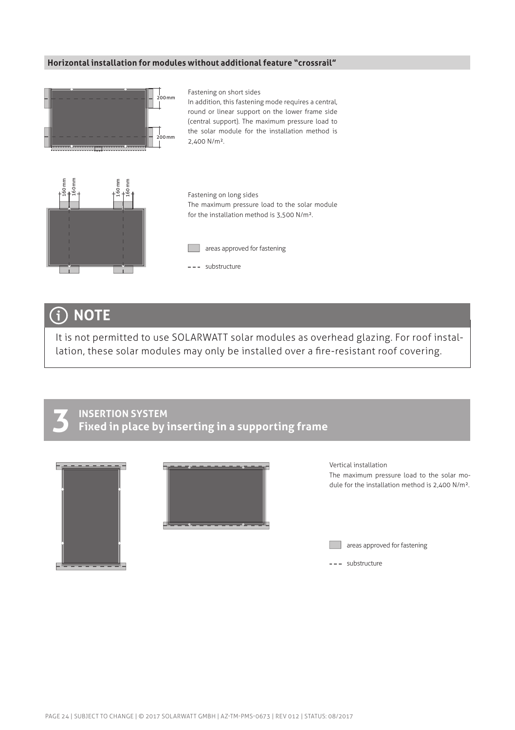#### **Horizontal installation for modules without additional feature "crossrail"**



#### Fastening on short sides

In addition, this fastening mode requires a central, round or linear support on the lower frame side (central support). The maximum pressure load to the solar module for the installation method is 2,400 N/m².



Fastening on long sides The maximum pressure load to the solar module for the installation method is 3,500 N/m².



--- substructure

# **NOTE**

It is not permitted to use SOLARWATT solar modules as overhead glazing. For roof installation, these solar modules may only be installed over a fire-resistant roof covering.



### **INSERTION SYSTEM Fixed in place by inserting in a supporting frame**



Vertical installation The maximum pressure load to the solar module for the installation method is 2,400 N/m².

**areas approved for fastening** 

 $---$ substructure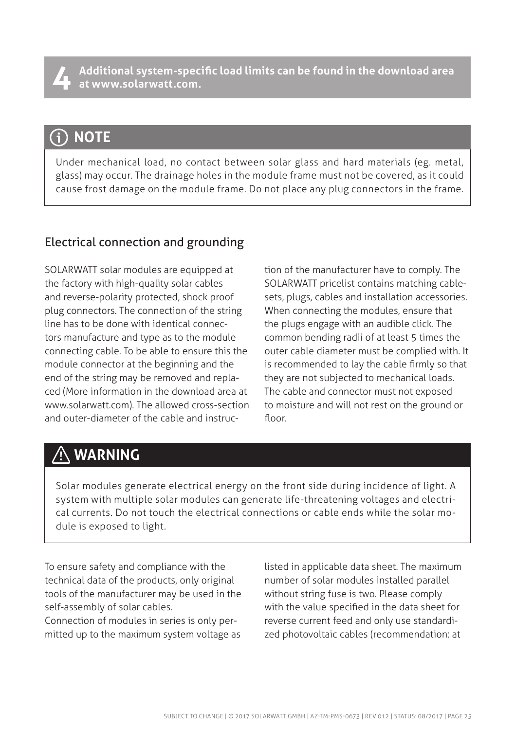**Additional system-specific load limits can be found in the download area 4 at www.solarwatt.com.**

# **NOTE**

Under mechanical load, no contact between solar glass and hard materials (eg. metal, glass) may occur. The drainage holes in the module frame must not be covered, as it could cause frost damage on the module frame. Do not place any plug connectors in the frame.

### Electrical connection and grounding

SOLARWATT solar modules are equipped at the factory with high-quality solar cables and reverse-polarity protected, shock proof plug connectors. The connection of the string line has to be done with identical connectors manufacture and type as to the module connecting cable. To be able to ensure this the module connector at the beginning and the end of the string may be removed and replaced (More information in the download area at www.solarwatt.com). The allowed cross-section and outer-diameter of the cable and instruc-

tion of the manufacturer have to comply. The SOLARWATT pricelist contains matching cablesets, plugs, cables and installation accessories. When connecting the modules, ensure that the plugs engage with an audible click. The common bending radii of at least 5 times the outer cable diameter must be complied with. It is recommended to lay the cable firmly so that they are not subjected to mechanical loads. The cable and connector must not exposed to moisture and will not rest on the ground or floor.

# **WARNING**

Solar modules generate electrical energy on the front side during incidence of light. A system with multiple solar modules can generate life-threatening voltages and electrical currents. Do not touch the electrical connections or cable ends while the solar module is exposed to light.

To ensure safety and compliance with the technical data of the products, only original tools of the manufacturer may be used in the self-assembly of solar cables.

Connection of modules in series is only permitted up to the maximum system voltage as listed in applicable data sheet. The maximum number of solar modules installed parallel without string fuse is two. Please comply with the value specified in the data sheet for reverse current feed and only use standardized photovoltaic cables (recommendation: at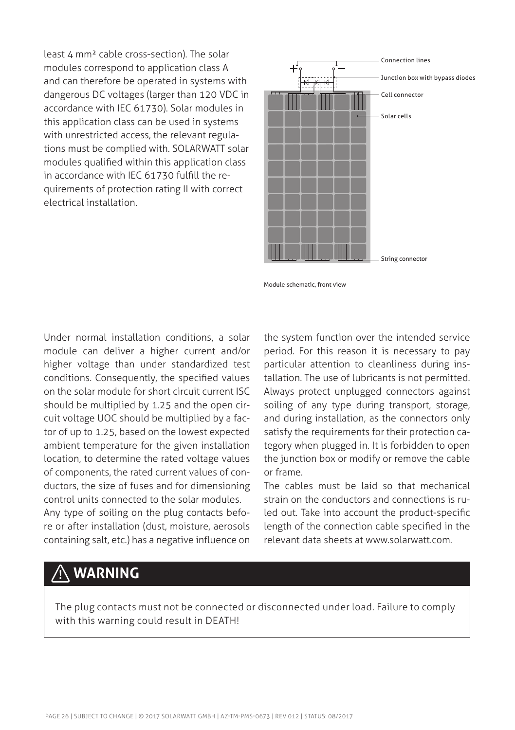least 4 mm² cable cross-section). The solar modules correspond to application class A and can therefore be operated in systems with dangerous DC voltages (larger than 120 VDC in accordance with IEC 61730). Solar modules in this application class can be used in systems with unrestricted access, the relevant regulations must be complied with. SOLARWATT solar modules qualified within this application class in accordance with IEC 61730 fulfill the requirements of protection rating II with correct electrical installation.



Module schematic, front view

Under normal installation conditions, a solar module can deliver a higher current and/or higher voltage than under standardized test conditions. Consequently, the specified values on the solar module for short circuit current ISC should be multiplied by 1.25 and the open circuit voltage UOC should be multiplied by a factor of up to 1.25, based on the lowest expected ambient temperature for the given installation location, to determine the rated voltage values of components, the rated current values of conductors, the size of fuses and for dimensioning control units connected to the solar modules. Any type of soiling on the plug contacts before or after installation (dust, moisture, aerosols containing salt, etc.) has a negative influence on

the system function over the intended service period. For this reason it is necessary to pay particular attention to cleanliness during installation. The use of lubricants is not permitted. Always protect unplugged connectors against soiling of any type during transport, storage, and during installation, as the connectors only satisfy the requirements for their protection category when plugged in. It is forbidden to open the junction box or modify or remove the cable or frame.

The cables must be laid so that mechanical strain on the conductors and connections is ruled out. Take into account the product-specific length of the connection cable specified in the relevant data sheets at www.solarwatt.com.

# **WARNING**

The plug contacts must not be connected or disconnected under load. Failure to comply with this warning could result in DEATH!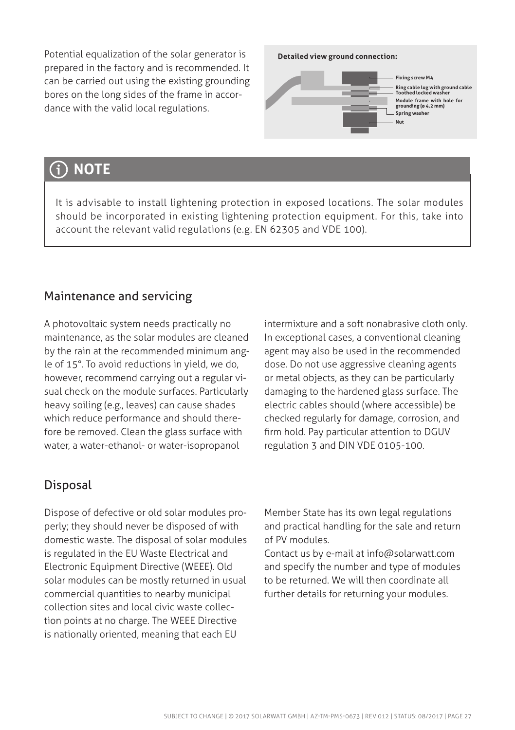Potential equalization of the solar generator is prepared in the factory and is recommended. It can be carried out using the existing grounding bores on the long sides of the frame in accordance with the valid local regulations.

#### **Detailed view ground connection:**



#### **NOTE** G

It is advisable to install lightening protection in exposed locations. The solar modules should be incorporated in existing lightening protection equipment. For this, take into account the relevant valid regulations (e.g. EN 62305 and VDE 100).

## Maintenance and servicing

A photovoltaic system needs practically no maintenance, as the solar modules are cleaned by the rain at the recommended minimum angle of 15°. To avoid reductions in yield, we do, however, recommend carrying out a regular visual check on the module surfaces. Particularly heavy soiling (e.g., leaves) can cause shades which reduce performance and should therefore be removed. Clean the glass surface with water, a water-ethanol- or water-isopropanol

intermixture and a soft nonabrasive cloth only. In exceptional cases, a conventional cleaning agent may also be used in the recommended dose. Do not use aggressive cleaning agents or metal objects, as they can be particularly damaging to the hardened glass surface. The electric cables should (where accessible) be checked regularly for damage, corrosion, and firm hold. Pay particular attention to DGUV regulation 3 and DIN VDE 0105-100.

## Disposal

Dispose of defective or old solar modules properly; they should never be disposed of with domestic waste. The disposal of solar modules is regulated in the EU Waste Electrical and Electronic Equipment Directive (WEEE). Old solar modules can be mostly returned in usual commercial quantities to nearby municipal collection sites and local civic waste collection points at no charge. The WEEE Directive is nationally oriented, meaning that each EU

Member State has its own legal regulations and practical handling for the sale and return of PV modules.

Contact us by e-mail at info@solarwatt.com and specify the number and type of modules to be returned. We will then coordinate all further details for returning your modules.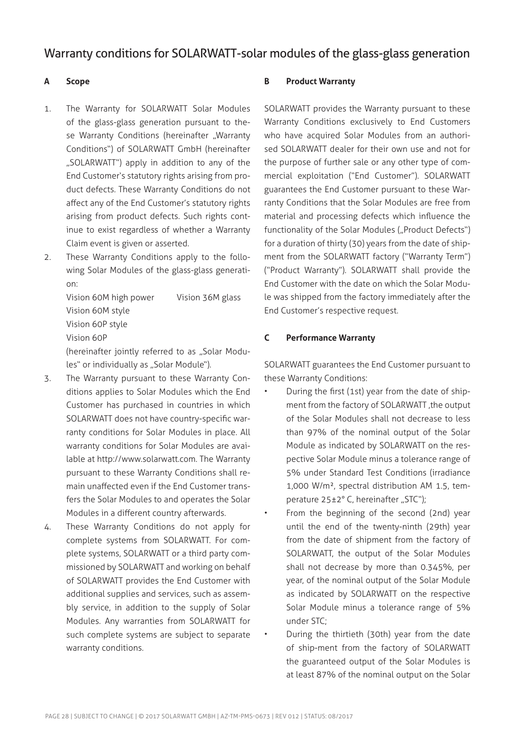### Warranty conditions for SOLARWATT-solar modules of the glass-glass generation

#### **A Scope**

- 1. The Warranty for SOLARWATT Solar Modules of the glass-glass generation pursuant to these Warranty Conditions (hereinafter "Warranty Conditions") of SOLARWATT GmbH (hereinafter "SOLARWATT") apply in addition to any of the End Customer's statutory rights arising from product defects. These Warranty Conditions do not affect any of the End Customer's statutory rights arising from product defects. Such rights continue to exist regardless of whether a Warranty Claim event is given or asserted.
- 2. These Warranty Conditions apply to the following Solar Modules of the glass-glass generation:

Vision 60M high power Vision 36M glass Vision 60M style Vision 60P style Vision 60P (hereinafter jointly referred to as "Solar Modu-

les" or individually as "Solar Module").

- 3. The Warranty pursuant to these Warranty Conditions applies to Solar Modules which the End Customer has purchased in countries in which SOLARWATT does not have country-specific warranty conditions for Solar Modules in place. All warranty conditions for Solar Modules are available at http://www.solarwatt.com. The Warranty pursuant to these Warranty Conditions shall remain unaffected even if the End Customer transfers the Solar Modules to and operates the Solar Modules in a different country afterwards.
- 4. These Warranty Conditions do not apply for complete systems from SOLARWATT. For complete systems, SOLARWATT or a third party commissioned by SOLARWATT and working on behalf of SOLARWATT provides the End Customer with additional supplies and services, such as assembly service, in addition to the supply of Solar Modules. Any warranties from SOLARWATT for such complete systems are subject to separate warranty conditions.

#### **B Product Warranty**

SOLARWATT provides the Warranty pursuant to these Warranty Conditions exclusively to End Customers who have acquired Solar Modules from an authorised SOLARWATT dealer for their own use and not for the purpose of further sale or any other type of commercial exploitation ("End Customer"). SOLARWATT guarantees the End Customer pursuant to these Warranty Conditions that the Solar Modules are free from material and processing defects which influence the functionality of the Solar Modules ("Product Defects") for a duration of thirty (30) years from the date of shipment from the SOLARWATT factory ("Warranty Term") ("Product Warranty"). SOLARWATT shall provide the End Customer with the date on which the Solar Module was shipped from the factory immediately after the End Customer's respective request.

#### **C Performance Warranty**

SOLARWATT guarantees the End Customer pursuant to these Warranty Conditions:

- During the first (1st) year from the date of shipment from the factory of SOLARWATT ,the output of the Solar Modules shall not decrease to less than 97% of the nominal output of the Solar Module as indicated by SOLARWATT on the respective Solar Module minus a tolerance range of 5% under Standard Test Conditions (irradiance 1,000 W/m², spectral distribution AM 1.5, temperature 25±2° C, hereinafter "STC");
- From the beginning of the second (2nd) year until the end of the twenty-ninth (29th) year from the date of shipment from the factory of SOLARWATT, the output of the Solar Modules shall not decrease by more than 0.345%, per year, of the nominal output of the Solar Module as indicated by SOLARWATT on the respective Solar Module minus a tolerance range of 5% under STC;
- During the thirtieth (30th) year from the date of ship-ment from the factory of SOLARWATT the guaranteed output of the Solar Modules is at least 87% of the nominal output on the Solar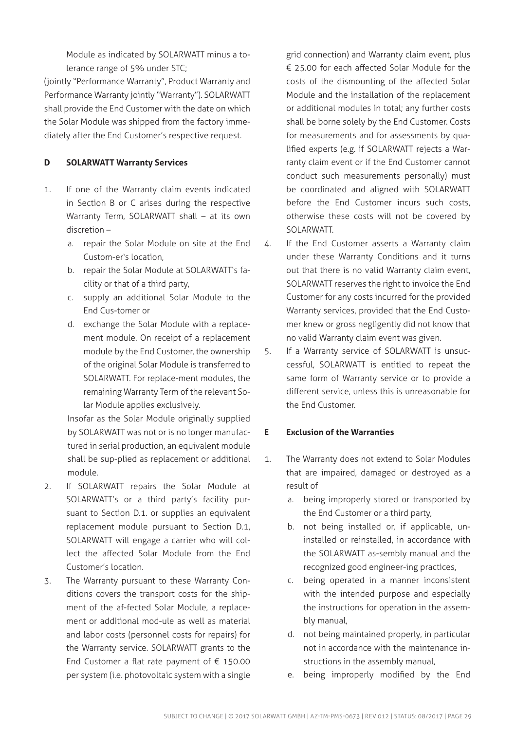Module as indicated by SOLARWATT minus a tolerance range of 5% under STC;

(jointly "Performance Warranty", Product Warranty and Performance Warranty jointly "Warranty"). SOLARWATT shall provide the End Customer with the date on which the Solar Module was shipped from the factory immediately after the End Customer's respective request.

#### **D SOLARWATT Warranty Services**

- 1. If one of the Warranty claim events indicated in Section B or C arises during the respective Warranty Term, SOLARWATT shall – at its own discretion –
	- a. repair the Solar Module on site at the End Custom-er's location,
	- b. repair the Solar Module at SOLARWATT's facility or that of a third party,
	- c. supply an additional Solar Module to the End Cus-tomer or
	- d. exchange the Solar Module with a replacement module. On receipt of a replacement module by the End Customer, the ownership of the original Solar Module is transferred to SOLARWATT. For replace-ment modules, the remaining Warranty Term of the relevant Solar Module applies exclusively.

Insofar as the Solar Module originally supplied by SOLARWATT was not or is no longer manufactured in serial production, an equivalent module shall be sup-plied as replacement or additional module.

- 2. If SOLARWATT repairs the Solar Module at SOLARWATT's or a third party's facility pursuant to Section D.1. or supplies an equivalent replacement module pursuant to Section D.1, SOLARWATT will engage a carrier who will collect the affected Solar Module from the End Customer's location.
- 3. The Warranty pursuant to these Warranty Conditions covers the transport costs for the shipment of the af-fected Solar Module, a replacement or additional mod-ule as well as material and labor costs (personnel costs for repairs) for the Warranty service. SOLARWATT grants to the End Customer a flat rate payment of € 150.00 per system (i.e. photovoltaic system with a single

grid connection) and Warranty claim event, plus € 25.00 for each affected Solar Module for the costs of the dismounting of the affected Solar Module and the installation of the replacement or additional modules in total; any further costs shall be borne solely by the End Customer. Costs for measurements and for assessments by qualified experts (e.g. if SOLARWATT rejects a Warranty claim event or if the End Customer cannot conduct such measurements personally) must be coordinated and aligned with SOLARWATT before the End Customer incurs such costs, otherwise these costs will not be covered by SOLARWATT.

- 4. If the End Customer asserts a Warranty claim under these Warranty Conditions and it turns out that there is no valid Warranty claim event, SOLARWATT reserves the right to invoice the End Customer for any costs incurred for the provided Warranty services, provided that the End Customer knew or gross negligently did not know that no valid Warranty claim event was given.
- 5. If a Warranty service of SOLARWATT is unsuccessful, SOLARWATT is entitled to repeat the same form of Warranty service or to provide a different service, unless this is unreasonable for the End Customer.

#### **E Exclusion of the Warranties**

- 1. The Warranty does not extend to Solar Modules that are impaired, damaged or destroyed as a result of
	- a. being improperly stored or transported by the End Customer or a third party,
	- b. not being installed or, if applicable, uninstalled or reinstalled, in accordance with the SOLARWATT as-sembly manual and the recognized good engineer-ing practices,
	- c. being operated in a manner inconsistent with the intended purpose and especially the instructions for operation in the assembly manual,
	- d. not being maintained properly, in particular not in accordance with the maintenance instructions in the assembly manual,
	- e. being improperly modified by the End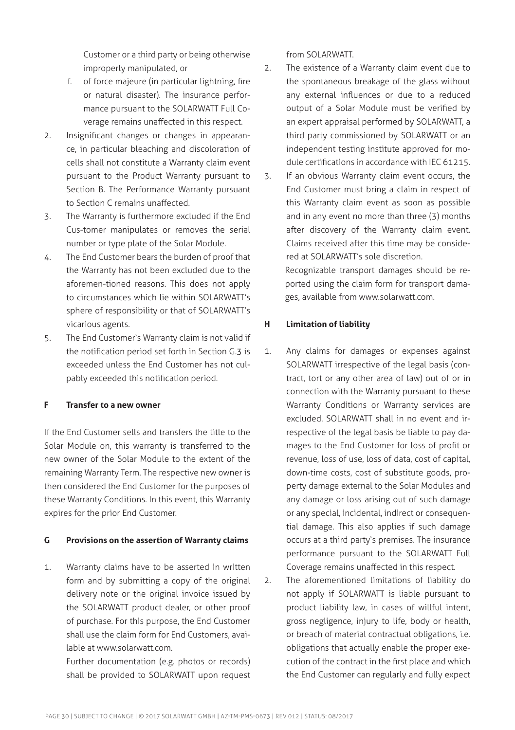Customer or a third party or being otherwise improperly manipulated, or

- f. of force majeure (in particular lightning, fire or natural disaster). The insurance performance pursuant to the SOLARWATT Full Coverage remains unaffected in this respect.
- 2. Insignificant changes or changes in appearance, in particular bleaching and discoloration of cells shall not constitute a Warranty claim event pursuant to the Product Warranty pursuant to Section B. The Performance Warranty pursuant to Section C remains unaffected.
- 3. The Warranty is furthermore excluded if the End Cus-tomer manipulates or removes the serial number or type plate of the Solar Module.
- 4. The End Customer bears the burden of proof that the Warranty has not been excluded due to the aforemen-tioned reasons. This does not apply to circumstances which lie within SOLARWATT's sphere of responsibility or that of SOLARWATT's vicarious agents.
- 5. The End Customer's Warranty claim is not valid if the notification period set forth in Section G.3 is exceeded unless the End Customer has not culpably exceeded this notification period.

#### **F Transfer to a new owner**

If the End Customer sells and transfers the title to the Solar Module on, this warranty is transferred to the new owner of the Solar Module to the extent of the remaining Warranty Term. The respective new owner is then considered the End Customer for the purposes of these Warranty Conditions. In this event, this Warranty expires for the prior End Customer.

#### **G Provisions on the assertion of Warranty claims**

1. Warranty claims have to be asserted in written form and by submitting a copy of the original delivery note or the original invoice issued by the SOLARWATT product dealer, or other proof of purchase. For this purpose, the End Customer shall use the claim form for End Customers, available at www.solarwatt.com.

Further documentation (e.g. photos or records) shall be provided to SOLARWATT upon request from SOLARWATT.

- 2. The existence of a Warranty claim event due to the spontaneous breakage of the glass without any external influences or due to a reduced output of a Solar Module must be verified by an expert appraisal performed by SOLARWATT, a third party commissioned by SOLARWATT or an independent testing institute approved for module certifications in accordance with IEC 61215.
- 3. If an obvious Warranty claim event occurs, the End Customer must bring a claim in respect of this Warranty claim event as soon as possible and in any event no more than three (3) months after discovery of the Warranty claim event. Claims received after this time may be considered at SOLARWATT's sole discretion. Recognizable transport damages should be reported using the claim form for transport damages, available from www.solarwatt.com.

#### **H Limitation of liability**

- 1. Any claims for damages or expenses against SOLARWATT irrespective of the legal basis (contract, tort or any other area of law) out of or in connection with the Warranty pursuant to these Warranty Conditions or Warranty services are excluded. SOLARWATT shall in no event and irrespective of the legal basis be liable to pay damages to the End Customer for loss of profit or revenue, loss of use, loss of data, cost of capital, down-time costs, cost of substitute goods, property damage external to the Solar Modules and any damage or loss arising out of such damage or any special, incidental, indirect or consequential damage. This also applies if such damage occurs at a third party's premises. The insurance performance pursuant to the SOLARWATT Full Coverage remains unaffected in this respect.
- 2. The aforementioned limitations of liability do not apply if SOLARWATT is liable pursuant to product liability law, in cases of willful intent, gross negligence, injury to life, body or health, or breach of material contractual obligations, i.e. obligations that actually enable the proper execution of the contract in the first place and which the End Customer can regularly and fully expect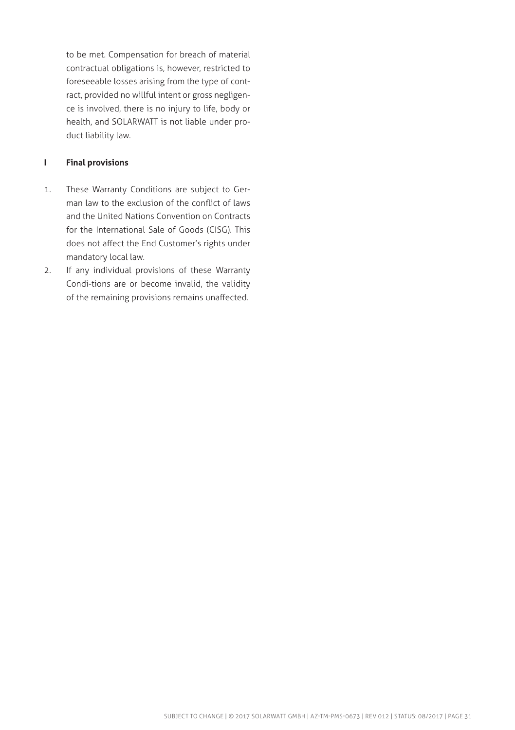to be met. Compensation for breach of material contractual obligations is, however, restricted to foreseeable losses arising from the type of contract, provided no willful intent or gross negligence is involved, there is no injury to life, body or health, and SOLARWATT is not liable under product liability law.

#### **I Final provisions**

- 1. These Warranty Conditions are subject to German law to the exclusion of the conflict of laws and the United Nations Convention on Contracts for the International Sale of Goods (CISG). This does not affect the End Customer's rights under mandatory local law.
- 2. If any individual provisions of these Warranty Condi-tions are or become invalid, the validity of the remaining provisions remains unaffected.